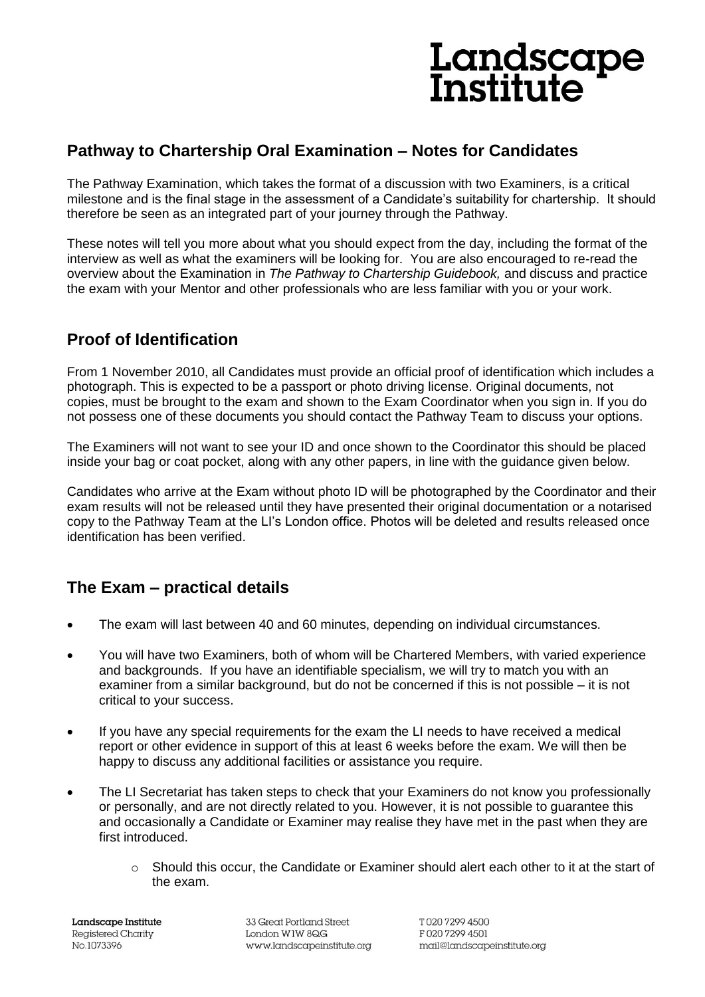# Landscape<br>Institute

## **Pathway to Chartership Oral Examination – Notes for Candidates**

The Pathway Examination, which takes the format of a discussion with two Examiners, is a critical milestone and is the final stage in the assessment of a Candidate's suitability for chartership. It should therefore be seen as an integrated part of your journey through the Pathway.

These notes will tell you more about what you should expect from the day, including the format of the interview as well as what the examiners will be looking for. You are also encouraged to re-read the overview about the Examination in *The Pathway to Chartership Guidebook,* and discuss and practice the exam with your Mentor and other professionals who are less familiar with you or your work.

### **Proof of Identification**

From 1 November 2010, all Candidates must provide an official proof of identification which includes a photograph. This is expected to be a passport or photo driving license. Original documents, not copies, must be brought to the exam and shown to the Exam Coordinator when you sign in. If you do not possess one of these documents you should contact the Pathway Team to discuss your options.

The Examiners will not want to see your ID and once shown to the Coordinator this should be placed inside your bag or coat pocket, along with any other papers, in line with the guidance given below.

Candidates who arrive at the Exam without photo ID will be photographed by the Coordinator and their exam results will not be released until they have presented their original documentation or a notarised copy to the Pathway Team at the LI's London office. Photos will be deleted and results released once identification has been verified.

## **The Exam – practical details**

- The exam will last between 40 and 60 minutes, depending on individual circumstances.
- You will have two Examiners, both of whom will be Chartered Members, with varied experience and backgrounds. If you have an identifiable specialism, we will try to match you with an examiner from a similar background, but do not be concerned if this is not possible – it is not critical to your success.
- If you have any special requirements for the exam the LI needs to have received a medical report or other evidence in support of this at least 6 weeks before the exam. We will then be happy to discuss any additional facilities or assistance you require.
- The LI Secretariat has taken steps to check that your Examiners do not know you professionally or personally, and are not directly related to you. However, it is not possible to guarantee this and occasionally a Candidate or Examiner may realise they have met in the past when they are first introduced.
	- $\circ$  Should this occur, the Candidate or Examiner should alert each other to it at the start of the exam.

Landscape Institute Registered Charity No.1073396

33 Great Portland Street London W1W 8QG www.landscapeinstitute.org

T02072994500 F02072994501 mail@landscapeinstitute.org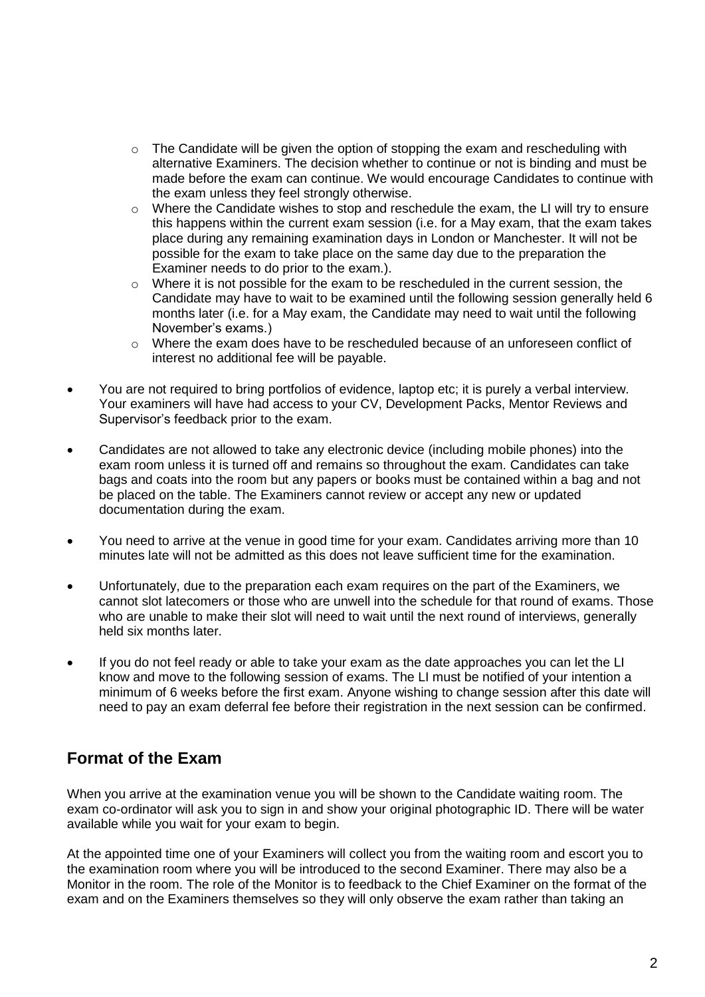- o The Candidate will be given the option of stopping the exam and rescheduling with alternative Examiners. The decision whether to continue or not is binding and must be made before the exam can continue. We would encourage Candidates to continue with the exam unless they feel strongly otherwise.
- $\circ$  Where the Candidate wishes to stop and reschedule the exam, the LI will try to ensure this happens within the current exam session (i.e. for a May exam, that the exam takes place during any remaining examination days in London or Manchester. It will not be possible for the exam to take place on the same day due to the preparation the Examiner needs to do prior to the exam.).
- $\circ$  Where it is not possible for the exam to be rescheduled in the current session, the Candidate may have to wait to be examined until the following session generally held 6 months later (i.e. for a May exam, the Candidate may need to wait until the following November's exams.)
- o Where the exam does have to be rescheduled because of an unforeseen conflict of interest no additional fee will be payable.
- You are not required to bring portfolios of evidence, laptop etc; it is purely a verbal interview. Your examiners will have had access to your CV, Development Packs, Mentor Reviews and Supervisor's feedback prior to the exam.
- Candidates are not allowed to take any electronic device (including mobile phones) into the exam room unless it is turned off and remains so throughout the exam. Candidates can take bags and coats into the room but any papers or books must be contained within a bag and not be placed on the table. The Examiners cannot review or accept any new or updated documentation during the exam.
- You need to arrive at the venue in good time for your exam. Candidates arriving more than 10 minutes late will not be admitted as this does not leave sufficient time for the examination.
- Unfortunately, due to the preparation each exam requires on the part of the Examiners, we cannot slot latecomers or those who are unwell into the schedule for that round of exams. Those who are unable to make their slot will need to wait until the next round of interviews, generally held six months later.
- If you do not feel ready or able to take your exam as the date approaches you can let the LI know and move to the following session of exams. The LI must be notified of your intention a minimum of 6 weeks before the first exam. Anyone wishing to change session after this date will need to pay an exam deferral fee before their registration in the next session can be confirmed.

## **Format of the Exam**

When you arrive at the examination venue you will be shown to the Candidate waiting room. The exam co-ordinator will ask you to sign in and show your original photographic ID. There will be water available while you wait for your exam to begin.

At the appointed time one of your Examiners will collect you from the waiting room and escort you to the examination room where you will be introduced to the second Examiner. There may also be a Monitor in the room. The role of the Monitor is to feedback to the Chief Examiner on the format of the exam and on the Examiners themselves so they will only observe the exam rather than taking an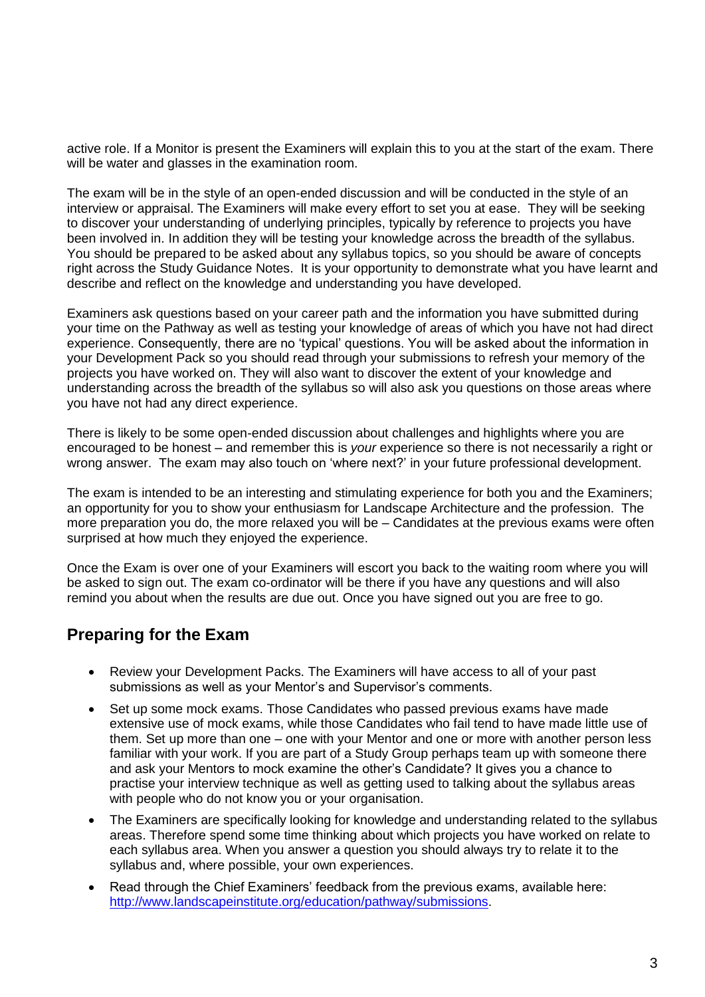active role. If a Monitor is present the Examiners will explain this to you at the start of the exam. There will be water and glasses in the examination room.

The exam will be in the style of an open-ended discussion and will be conducted in the style of an interview or appraisal. The Examiners will make every effort to set you at ease. They will be seeking to discover your understanding of underlying principles, typically by reference to projects you have been involved in. In addition they will be testing your knowledge across the breadth of the syllabus. You should be prepared to be asked about any syllabus topics, so you should be aware of concepts right across the Study Guidance Notes. It is your opportunity to demonstrate what you have learnt and describe and reflect on the knowledge and understanding you have developed.

Examiners ask questions based on your career path and the information you have submitted during your time on the Pathway as well as testing your knowledge of areas of which you have not had direct experience. Consequently, there are no 'typical' questions. You will be asked about the information in your Development Pack so you should read through your submissions to refresh your memory of the projects you have worked on. They will also want to discover the extent of your knowledge and understanding across the breadth of the syllabus so will also ask you questions on those areas where you have not had any direct experience.

There is likely to be some open-ended discussion about challenges and highlights where you are encouraged to be honest – and remember this is *your* experience so there is not necessarily a right or wrong answer. The exam may also touch on 'where next?' in your future professional development.

The exam is intended to be an interesting and stimulating experience for both you and the Examiners; an opportunity for you to show your enthusiasm for Landscape Architecture and the profession. The more preparation you do, the more relaxed you will be – Candidates at the previous exams were often surprised at how much they enjoyed the experience.

Once the Exam is over one of your Examiners will escort you back to the waiting room where you will be asked to sign out. The exam co-ordinator will be there if you have any questions and will also remind you about when the results are due out. Once you have signed out you are free to go.

#### **Preparing for the Exam**

- Review your Development Packs. The Examiners will have access to all of your past submissions as well as your Mentor's and Supervisor's comments.
- Set up some mock exams. Those Candidates who passed previous exams have made extensive use of mock exams, while those Candidates who fail tend to have made little use of them. Set up more than one – one with your Mentor and one or more with another person less familiar with your work. If you are part of a Study Group perhaps team up with someone there and ask your Mentors to mock examine the other's Candidate? It gives you a chance to practise your interview technique as well as getting used to talking about the syllabus areas with people who do not know you or your organisation.
- The Examiners are specifically looking for knowledge and understanding related to the syllabus areas. Therefore spend some time thinking about which projects you have worked on relate to each syllabus area. When you answer a question you should always try to relate it to the syllabus and, where possible, your own experiences.
- Read through the Chief Examiners' feedback from the previous exams, available here: [http://www.landscapeinstitute.org/education/pathway/submissions.](http://www.landscapeinstitute.org/education/pathway/submissions)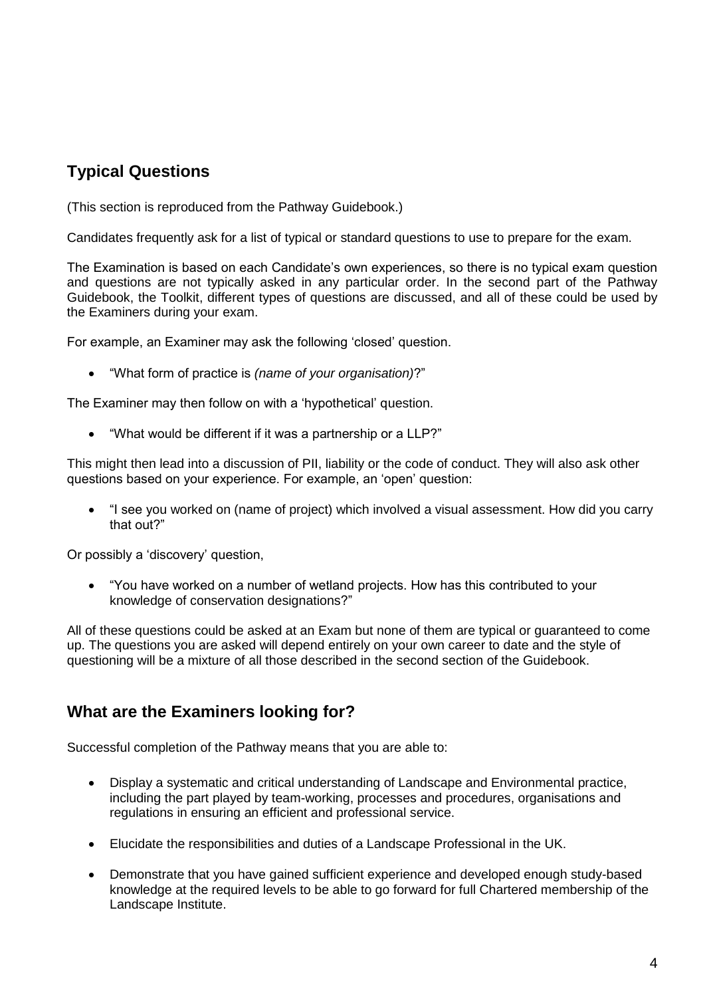## **Typical Questions**

(This section is reproduced from the Pathway Guidebook.)

Candidates frequently ask for a list of typical or standard questions to use to prepare for the exam.

The Examination is based on each Candidate's own experiences, so there is no typical exam question and questions are not typically asked in any particular order. In the second part of the Pathway Guidebook, the Toolkit, different types of questions are discussed, and all of these could be used by the Examiners during your exam.

For example, an Examiner may ask the following 'closed' question.

"What form of practice is *(name of your organisation)*?"

The Examiner may then follow on with a 'hypothetical' question.

"What would be different if it was a partnership or a LLP?"

This might then lead into a discussion of PII, liability or the code of conduct. They will also ask other questions based on your experience. For example, an 'open' question:

 "I see you worked on (name of project) which involved a visual assessment. How did you carry that out?"

Or possibly a 'discovery' question,

 "You have worked on a number of wetland projects. How has this contributed to your knowledge of conservation designations?"

All of these questions could be asked at an Exam but none of them are typical or guaranteed to come up. The questions you are asked will depend entirely on your own career to date and the style of questioning will be a mixture of all those described in the second section of the Guidebook.

#### **What are the Examiners looking for?**

Successful completion of the Pathway means that you are able to:

- Display a systematic and critical understanding of Landscape and Environmental practice, including the part played by team-working, processes and procedures, organisations and regulations in ensuring an efficient and professional service.
- Elucidate the responsibilities and duties of a Landscape Professional in the UK.
- Demonstrate that you have gained sufficient experience and developed enough study-based knowledge at the required levels to be able to go forward for full Chartered membership of the Landscape Institute.